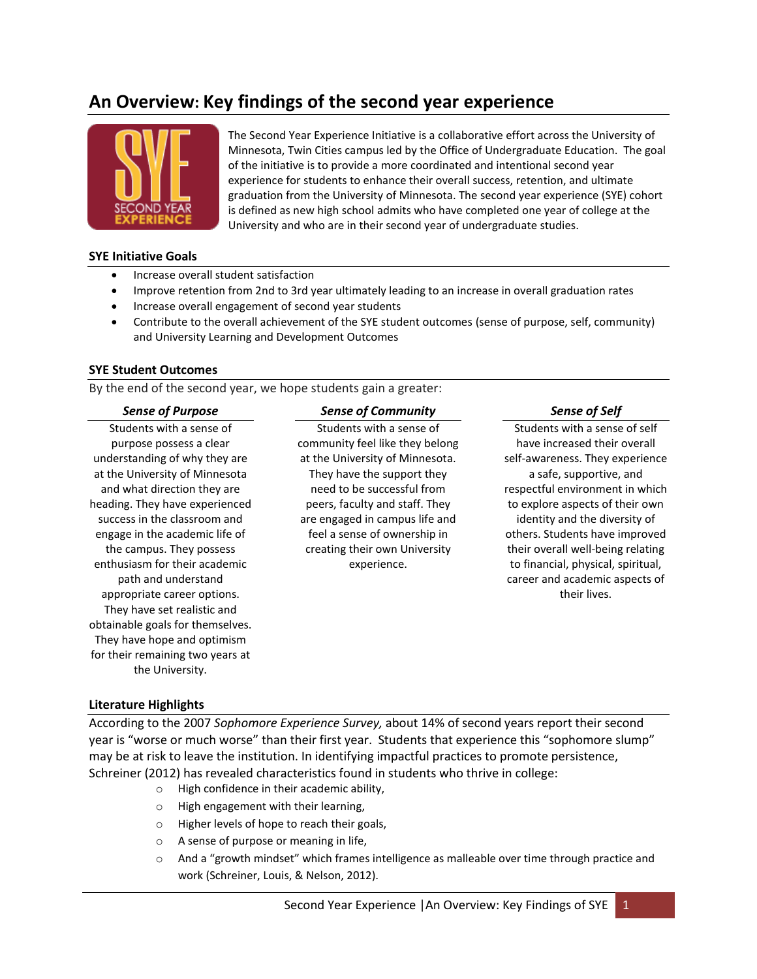## **An Overview: Key findings of the second year experience**



The Second Year Experience Initiative is a collaborative effort across the University of Minnesota, Twin Cities campus led by the Office of Undergraduate Education. The goal of the initiative is to provide a more coordinated and intentional second year experience for students to enhance their overall success, retention, and ultimate graduation from the University of Minnesota. The second year experience (SYE) cohort is defined as new high school admits who have completed one year of college at the University and who are in their second year of undergraduate studies.

#### **SYE Initiative Goals**

- Increase overall student satisfaction
- Improve retention from 2nd to 3rd year ultimately leading to an increase in overall graduation rates
- Increase overall engagement of second year students
- Contribute to the overall achievement of the SYE student outcomes (sense of purpose, self, community) and University Learning and Development Outcomes

### **SYE Student Outcomes**

By the end of the second year, we hope students gain a greater:

#### *Sense of Purpose*

Students with a sense of purpose possess a clear understanding of why they are at the University of Minnesota and what direction they are heading. They have experienced success in the classroom and engage in the academic life of the campus. They possess enthusiasm for their academic path and understand appropriate career options. They have set realistic and obtainable goals for themselves. They have hope and optimism for their remaining two years at the University.

### *Sense of Community*

Students with a sense of community feel like they belong at the University of Minnesota. They have the support they need to be successful from peers, faculty and staff. They are engaged in campus life and feel a sense of ownership in creating their own University experience.

#### *Sense of Self*

Students with a sense of self have increased their overall self-awareness. They experience a safe, supportive, and respectful environment in which to explore aspects of their own identity and the diversity of others. Students have improved their overall well-being relating to financial, physical, spiritual, career and academic aspects of their lives.

## **Literature Highlights**

According to the 2007 *Sophomore Experience Survey,* about 14% of second years report their second year is "worse or much worse" than their first year. Students that experience this "sophomore slump" may be at risk to leave the institution. In identifying impactful practices to promote persistence, Schreiner (2012) has revealed characteristics found in students who thrive in college:

- o High confidence in their academic ability,
- o High engagement with their learning,
- o Higher levels of hope to reach their goals,
- o A sense of purpose or meaning in life,
- $\circ$  And a "growth mindset" which frames intelligence as malleable over time through practice and work (Schreiner, Louis, & Nelson, 2012).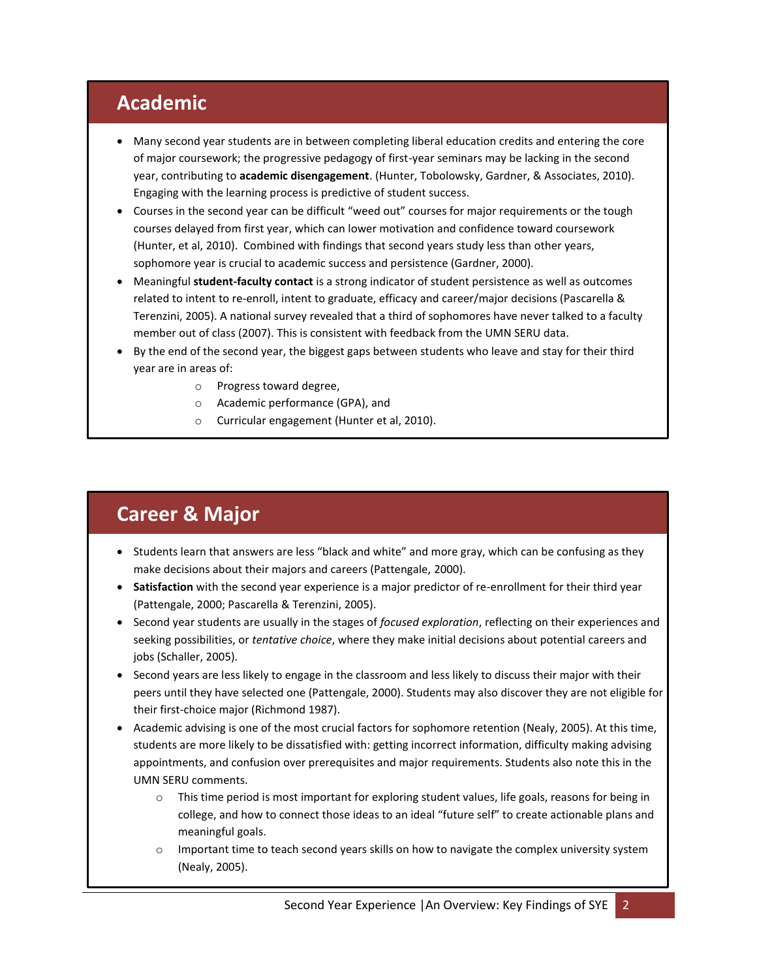# **Academic**

- Many second year students are in between completing liberal education credits and entering the core of major coursework; the progressive pedagogy of first-year seminars may be lacking in the second year, contributing to **academic disengagement**. (Hunter, Tobolowsky, Gardner, & Associates, 2010). Engaging with the learning process is predictive of student success.
- Courses in the second year can be difficult "weed out" courses for major requirements or the tough courses delayed from first year, which can lower motivation and confidence toward coursework (Hunter, et al, 2010). Combined with findings that second years study less than other years, sophomore year is crucial to academic success and persistence (Gardner, 2000).
- Meaningful **student-faculty contact** is a strong indicator of student persistence as well as outcomes related to intent to re-enroll, intent to graduate, efficacy and career/major decisions (Pascarella & Terenzini, 2005). A national survey revealed that a third of sophomores have never talked to a faculty member out of class (2007). This is consistent with feedback from the UMN SERU data.
- By the end of the second year, the biggest gaps between students who leave and stay for their third year are in areas of:
	- o Progress toward degree,
	- o Academic performance (GPA), and
	- o Curricular engagement (Hunter et al, 2010).

# **Career & Major**

- Students learn that answers are less "black and white" and more gray, which can be confusing as they make decisions about their majors and careers (Pattengale, 2000).
- **Satisfaction** with the second year experience is a major predictor of re-enrollment for their third year (Pattengale, 2000; Pascarella & Terenzini, 2005).
- Second year students are usually in the stages of *focused exploration*, reflecting on their experiences and seeking possibilities, or *tentative choice*, where they make initial decisions about potential careers and jobs (Schaller, 2005).
- Second years are less likely to engage in the classroom and less likely to discuss their major with their peers until they have selected one (Pattengale, 2000). Students may also discover they are not eligible for their first-choice major (Richmond 1987).
- Academic advising is one of the most crucial factors for sophomore retention (Nealy, 2005). At this time, students are more likely to be dissatisfied with: getting incorrect information, difficulty making advising appointments, and confusion over prerequisites and major requirements. Students also note this in the UMN SERU comments.
	- o This time period is most important for exploring student values, life goals, reasons for being in college, and how to connect those ideas to an ideal "future self" to create actionable plans and meaningful goals.
	- $\circ$  Important time to teach second years skills on how to navigate the complex university system (Nealy, 2005).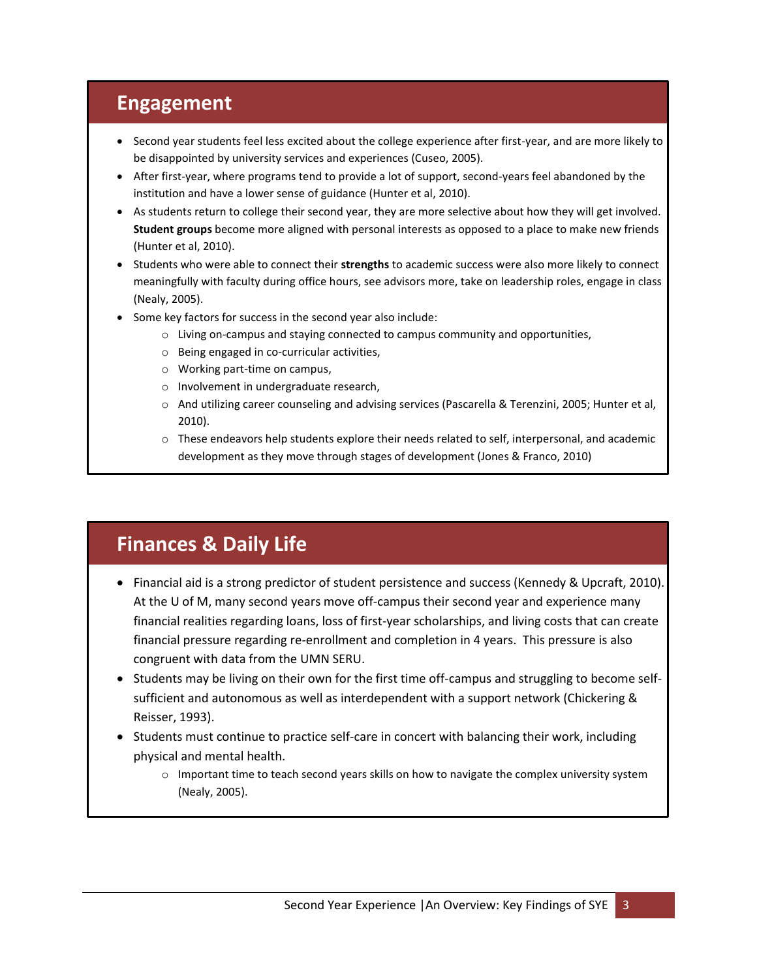## **Engagement**

- Second year students feel less excited about the college experience after first-year, and are more likely to be disappointed by university services and experiences (Cuseo, 2005).
- After first-year, where programs tend to provide a lot of support, second-years feel abandoned by the institution and have a lower sense of guidance (Hunter et al, 2010).
- As students return to college their second year, they are more selective about how they will get involved. **Student groups** become more aligned with personal interests as opposed to a place to make new friends (Hunter et al, 2010).
- **Students who were able to connect their strengths** to academic success were also more likely to connect meaningfully with faculty during office hours, see advisors more, take on leadership roles, engage in class (Nealy, 2005).
- Some key factors for success in the second year also include:
	- $\circ$  Living on-campus and staying connected to campus community and opportunities,
	- o Being engaged in co-curricular activities,
	- o Working part-time on campus,
	- o Involvement in undergraduate research,
	- o And utilizing career counseling and advising services (Pascarella & Terenzini, 2005; Hunter et al, 2010).
	- $\circ$  These endeavors help students explore their needs related to self, interpersonal, and academic development as they move through stages of development (Jones & Franco, 2010)

# **Finances & Daily Life**

- Financial aid is a strong predictor of student persistence and success (Kennedy & Upcraft, 2010). At the U of M, many second years move off-campus their second year and experience many financial realities regarding loans, loss of first-year scholarships, and living costs that can create financial pressure regarding re-enrollment and completion in 4 years. This pressure is also congruent with data from the UMN SERU.
- Students may be living on their own for the first time off-campus and struggling to become selfsufficient and autonomous as well as interdependent with a support network (Chickering & Reisser, 1993).
- Students must continue to practice self-care in concert with balancing their work, including physical and mental health.
	- o Important time to teach second years skills on how to navigate the complex university system (Nealy, 2005).